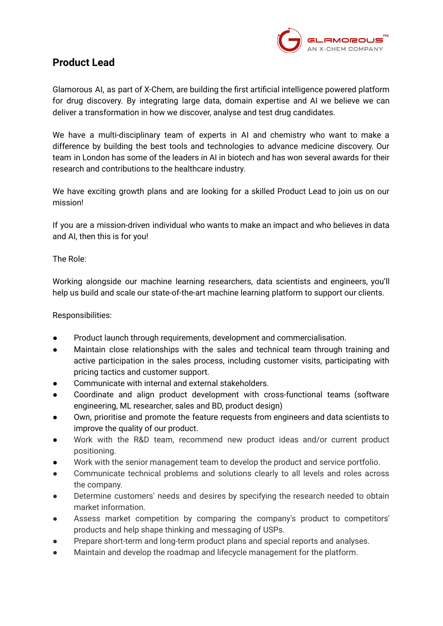

## **Product Lead**

Glamorous AI, as part of X-Chem, are building the first artificial intelligence powered platform for drug discovery. By integrating large data, domain expertise and AI we believe we can deliver a transformation in how we discover, analyse and test drug candidates.

We have a multi-disciplinary team of experts in AI and chemistry who want to make a difference by building the best tools and technologies to advance medicine discovery. Our team in London has some of the leaders in AI in biotech and has won several awards for their research and contributions to the healthcare industry.

We have exciting growth plans and are looking for a skilled Product Lead to join us on our mission!

If you are a mission-driven individual who wants to make an impact and who believes in data and AI, then this is for you!

The Role:

Working alongside our machine learning researchers, data scientists and engineers, you'll help us build and scale our state-of-the-art machine learning platform to support our clients.

Responsibilities:

- Product launch through requirements, development and commercialisation.
- Maintain close relationships with the sales and technical team through training and active participation in the sales process, including customer visits, participating with pricing tactics and customer support.
- Communicate with internal and external stakeholders.
- Coordinate and align product development with cross-functional teams (software engineering, ML researcher, sales and BD, product design)
- Own, prioritise and promote the feature requests from engineers and data scientists to improve the quality of our product.
- Work with the R&D team, recommend new product ideas and/or current product positioning.
- Work with the senior management team to develop the product and service portfolio.
- Communicate technical problems and solutions clearly to all levels and roles across the company.
- Determine customers' needs and desires by specifying the research needed to obtain market information.
- Assess market competition by comparing the company's product to competitors' products and help shape thinking and messaging of USPs.
- Prepare short-term and long-term product plans and special reports and analyses.
- Maintain and develop the roadmap and lifecycle management for the platform.